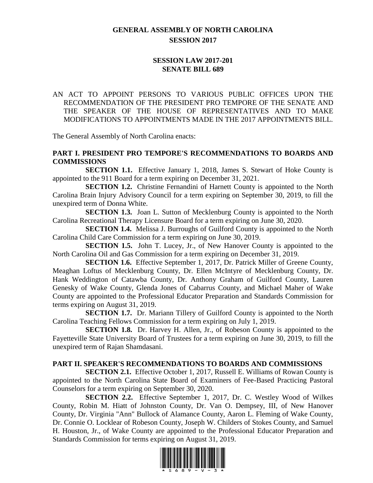# **GENERAL ASSEMBLY OF NORTH CAROLINA SESSION 2017**

## **SESSION LAW 2017-201 SENATE BILL 689**

AN ACT TO APPOINT PERSONS TO VARIOUS PUBLIC OFFICES UPON THE RECOMMENDATION OF THE PRESIDENT PRO TEMPORE OF THE SENATE AND THE SPEAKER OF THE HOUSE OF REPRESENTATIVES AND TO MAKE MODIFICATIONS TO APPOINTMENTS MADE IN THE 2017 APPOINTMENTS BILL.

The General Assembly of North Carolina enacts:

## **PART I. PRESIDENT PRO TEMPORE'S RECOMMENDATIONS TO BOARDS AND COMMISSIONS**

**SECTION 1.1.** Effective January 1, 2018, James S. Stewart of Hoke County is appointed to the 911 Board for a term expiring on December 31, 2021.

**SECTION 1.2.** Christine Fernandini of Harnett County is appointed to the North Carolina Brain Injury Advisory Council for a term expiring on September 30, 2019, to fill the unexpired term of Donna White.

**SECTION 1.3.** Joan L. Sutton of Mecklenburg County is appointed to the North Carolina Recreational Therapy Licensure Board for a term expiring on June 30, 2020.

**SECTION 1.4.** Melissa J. Burroughs of Guilford County is appointed to the North Carolina Child Care Commission for a term expiring on June 30, 2019.

**SECTION 1.5.** John T. Lucey, Jr., of New Hanover County is appointed to the North Carolina Oil and Gas Commission for a term expiring on December 31, 2019.

**SECTION 1.6.** Effective September 1, 2017, Dr. Patrick Miller of Greene County, Meaghan Loftus of Mecklenburg County, Dr. Ellen McIntyre of Mecklenburg County, Dr. Hank Weddington of Catawba County, Dr. Anthony Graham of Guilford County, Lauren Genesky of Wake County, Glenda Jones of Cabarrus County, and Michael Maher of Wake County are appointed to the Professional Educator Preparation and Standards Commission for terms expiring on August 31, 2019.

**SECTION 1.7.** Dr. Mariann Tillery of Guilford County is appointed to the North Carolina Teaching Fellows Commission for a term expiring on July 1, 2019.

**SECTION 1.8.** Dr. Harvey H. Allen, Jr., of Robeson County is appointed to the Fayetteville State University Board of Trustees for a term expiring on June 30, 2019, to fill the unexpired term of Rajan Shamdasani.

#### **PART II. SPEAKER'S RECOMMENDATIONS TO BOARDS AND COMMISSIONS**

**SECTION 2.1.** Effective October 1, 2017, Russell E. Williams of Rowan County is appointed to the North Carolina State Board of Examiners of Fee-Based Practicing Pastoral Counselors for a term expiring on September 30, 2020.

**SECTION 2.2.** Effective September 1, 2017, Dr. C. Westley Wood of Wilkes County, Robin M. Hiatt of Johnston County, Dr. Van O. Dempsey, III, of New Hanover County, Dr. Virginia "Ann" Bullock of Alamance County, Aaron L. Fleming of Wake County, Dr. Connie O. Locklear of Robeson County, Joseph W. Childers of Stokes County, and Samuel H. Houston, Jr., of Wake County are appointed to the Professional Educator Preparation and Standards Commission for terms expiring on August 31, 2019.

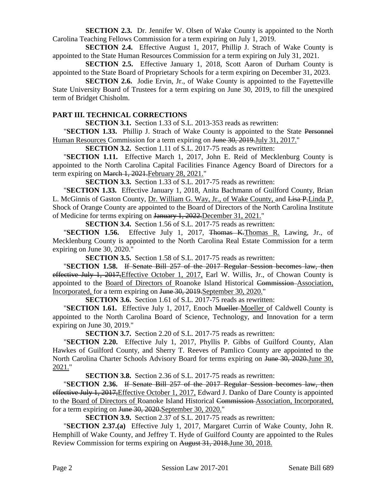**SECTION 2.3.** Dr. Jennifer W. Olsen of Wake County is appointed to the North Carolina Teaching Fellows Commission for a term expiring on July 1, 2019.

**SECTION 2.4.** Effective August 1, 2017, Phillip J. Strach of Wake County is appointed to the State Human Resources Commission for a term expiring on July 31, 2021.

**SECTION 2.5.** Effective January 1, 2018, Scott Aaron of Durham County is appointed to the State Board of Proprietary Schools for a term expiring on December 31, 2023.

**SECTION 2.6.** Jodie Ervin, Jr., of Wake County is appointed to the Fayetteville State University Board of Trustees for a term expiring on June 30, 2019, to fill the unexpired term of Bridget Chisholm.

### **PART III. TECHNICAL CORRECTIONS**

**SECTION 3.1.** Section 1.33 of S.L. 2013-353 reads as rewritten:

"**SECTION 1.33.** Phillip J. Strach of Wake County is appointed to the State Personnel Human Resources Commission for a term expiring on June 30, 2019. July 31, 2017."

**SECTION 3.2.** Section 1.11 of S.L. 2017-75 reads as rewritten:

"**SECTION 1.11.** Effective March 1, 2017, John E. Reid of Mecklenburg County is appointed to the North Carolina Capital Facilities Finance Agency Board of Directors for a term expiring on March 1, 2021. February 28, 2021."

**SECTION 3.3.** Section 1.33 of S.L. 2017-75 reads as rewritten:

"**SECTION 1.33.** Effective January 1, 2018, Anita Bachmann of Guilford County, Brian L. McGinnis of Gaston County, Dr. William G. Way, Jr., of Wake County, and Lisa P.Linda P. Shock of Orange County are appointed to the Board of Directors of the North Carolina Institute of Medicine for terms expiring on January 1, 2022.December 31, 2021."

**SECTION 3.4.** Section 1.56 of S.L. 2017-75 reads as rewritten:

"**SECTION 1.56.** Effective July 1, 2017, Thomas K.Thomas R. Lawing, Jr., of Mecklenburg County is appointed to the North Carolina Real Estate Commission for a term expiring on June 30, 2020."

**SECTION 3.5.** Section 1.58 of S.L. 2017-75 reads as rewritten:

"**SECTION 1.58.** If Senate Bill 257 of the 2017 Regular Session becomes law, then effective July 1, 2017,Effective October 1, 2017, Earl W. Willis, Jr., of Chowan County is appointed to the Board of Directors of Roanoke Island Historical Commission Association, Incorporated, for a term expiring on June 30, 2019.September 30, 2020."

**SECTION 3.6.** Section 1.61 of S.L. 2017-75 reads as rewritten:

"**SECTION 1.61.** Effective July 1, 2017, Enoch Mueller Moeller of Caldwell County is appointed to the North Carolina Board of Science, Technology, and Innovation for a term expiring on June 30, 2019."

**SECTION 3.7.** Section 2.20 of S.L. 2017-75 reads as rewritten:

"**SECTION 2.20.** Effective July 1, 2017, Phyllis P. Gibbs of Guilford County, Alan Hawkes of Guilford County, and Sherry T. Reeves of Pamlico County are appointed to the North Carolina Charter Schools Advisory Board for terms expiring on June 30, 2020.June 30, 2021."

**SECTION 3.8.** Section 2.36 of S.L. 2017-75 reads as rewritten:

"**SECTION 2.36.** If Senate Bill 257 of the 2017 Regular Session becomes law, then effective July 1, 2017, Effective October 1, 2017, Edward J. Danko of Dare County is appointed to the Board of Directors of Roanoke Island Historical Commission Association, Incorporated, for a term expiring on June 30, 2020.September 30, 2020."

**SECTION 3.9.** Section 2.37 of S.L. 2017-75 reads as rewritten:

"**SECTION 2.37.(a)** Effective July 1, 2017, Margaret Currin of Wake County, John R. Hemphill of Wake County, and Jeffrey T. Hyde of Guilford County are appointed to the Rules Review Commission for terms expiring on August 31, 2018.June 30, 2018.